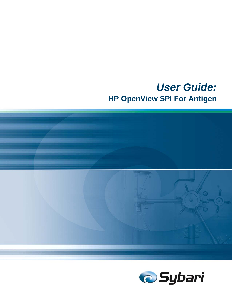# *User Guide:*  **HP OpenView SPI For Antigen**



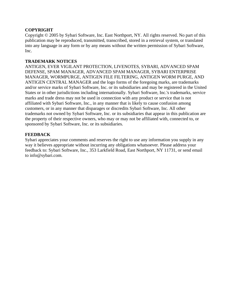#### **COPYRIGHT**

Copyright © 2005 by Sybari Software, Inc. East Northport, NY. All rights reserved. No part of this publication may be reproduced, transmitted, transcribed, stored in a retrieval system, or translated into any language in any form or by any means without the written permission of Sybari Software, Inc.

#### **TRADEMARK NOTICES**

ANTIGEN, EVER VIGILANT PROTECTION, LIVENOTES, SYBARI, ADVANCED SPAM DEFENSE, SPAM MANAGER, ADVANCED SPAM MANAGER, SYBARI ENTERPRISE MANAGER, WORMPURGE, ANTIGEN FILE FILTERING, ANTIGEN WORM PURGE, AND ANTIGEN CENTRAL MANAGER and the logo forms of the foregoing marks, are trademarks and/or service marks of Sybari Software, Inc. or its subsidiaries and may be registered in the United States or in other jurisdictions including internationally. Sybari Software, Inc.'s trademarks, service marks and trade dress may not be used in connection with any product or service that is not affiliated with Sybari Software, Inc., in any manner that is likely to cause confusion among customers, or in any manner that disparages or discredits Sybari Software, Inc. All other trademarks not owned by Sybari Software, Inc. or its subsidiaries that appear in this publication are the property of their respective owners, who may or may not be affiliated with, connected to, or sponsored by Sybari Software, Inc. or its subsidiaries.

### **FEEDBACK**

Sybari appreciates your comments and reserves the right to use any information you supply in any way it believes appropriate without incurring any obligations whatsoever. Please address your feedback to: Sybari Software, Inc., 353 Larkfield Road, East Northport, NY 11731, or send email to info@sybari.com.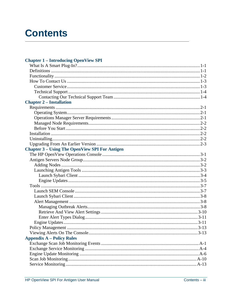# **Contents**

### **Chapter 1 – Introducing OpenView SPI**

| <b>Chapter 2 – Installation</b>                       |  |
|-------------------------------------------------------|--|
|                                                       |  |
|                                                       |  |
|                                                       |  |
|                                                       |  |
|                                                       |  |
|                                                       |  |
|                                                       |  |
|                                                       |  |
| <b>Chapter 3 - Using The OpenView SPI For Antigen</b> |  |
|                                                       |  |
|                                                       |  |
|                                                       |  |
|                                                       |  |
|                                                       |  |
|                                                       |  |
|                                                       |  |
|                                                       |  |
|                                                       |  |
|                                                       |  |
|                                                       |  |
|                                                       |  |
|                                                       |  |
|                                                       |  |
|                                                       |  |
|                                                       |  |
| <b>Appendix A – Policy Rules</b>                      |  |
|                                                       |  |
|                                                       |  |
|                                                       |  |
|                                                       |  |
|                                                       |  |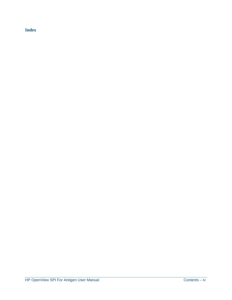### **Index**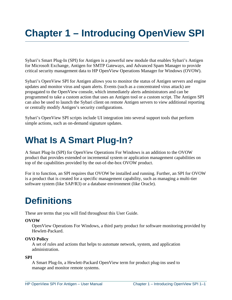# **Chapter 1 – Introducing OpenView SPI**

Sybari's Smart Plug-In (SPI) for Antigen is a powerful new module that enables Sybari's Antigen for Microsoft Exchange, Antigen for SMTP Gateways, and Advanced Spam Manager to provide critical security management data to HP OpenView Operations Manager for Windows (OVOW).

Sybari's OpenView SPI for Antigen allows you to monitor the status of Antigen servers and engine updates and monitor virus and spam alerts. Events (such as a concentrated virus attack) are propagated to the OpenView console, which immediately alerts administrators and can be programmed to take a custom action that uses an Antigen tool or a custom script. The Antigen SPI can also be used to launch the Sybari client on remote Antigen servers to view additional reporting or centrally modify Antigen's security configurations.

Sybari's OpenView SPI scripts include UI integration into several support tools that perform simple actions, such as on-demand signature updates.

# **What Is A Smart Plug-In?**

A Smart Plug-In (SPI) for OpenView Operations For Windows is an addition to the OVOW product that provides extended or incremental system or application management capabilities on top of the capabilities provided by the out-of-the-box OVOW product.

For it to function, an SPI requires that OVOW be installed and running. Further, an SPI for OVOW is a product that is created for a specific management capability, such as managing a multi-tier software system (like SAP/R3) or a database environment (like Oracle).

# **Definitions**

These are terms that you will find throughout this User Guide.

### **OVOW**

OpenView Operations For Windows, a third party product for software monitoring provided by Hewlett-Packard.

### **OVO Policy**

A set of rules and actions that helps to automate network, system, and application administration.

### **SPI**

A Smart Plug-In, a Hewlett-Packard OpenView term for product plug-ins used to manage and monitor remote systems.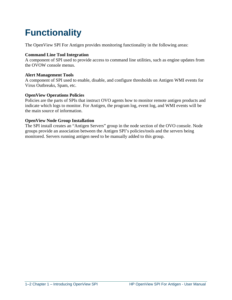# **Functionality**

The OpenView SPI For Antigen provides monitoring functionality in the following areas:

### **Command Line Tool Integration**

A component of SPI used to provide access to command line utilities, such as engine updates from the OVOW console menus.

#### **Alert Management Tools**

A component of SPI used to enable, disable, and configure thresholds on Antigen WMI events for Virus Outbreaks, Spam, etc.

### **OpenView Operations Policies**

Policies are the parts of SPIs that instruct OVO agents how to monitor remote antigen products and indicate which logs to monitor. For Antigen, the program log, event log, and WMI events will be the main source of information.

### **OpenView Node Group Installation**

The SPI install creates an "Antigen Servers" group in the node section of the OVO console. Node groups provide an association between the Antigen SPI's policies/tools and the servers being monitored. Servers running antigen need to be manually added to this group.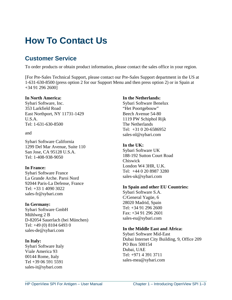# **How To Contact Us**

## **Customer Service**

To order products or obtain product information, please contact the sales office in your region.

[For Pre-Sales Technical Support, please contact our Pre-Sales Support department in the US at 1-631-630-8500 (press option 2 for our Support Menu and then press option 2) or in Spain at +34 91 296 2600]

#### **In North America:**

Sybari Software, Inc. 353 Larkfield Road East Northport, NY 11731-1429 U.S.A. Tel: 1-631-630-8500

#### and

Sybari Software California 1299 Del Mar Avenue, Suite 110 San Jose, CA 95128 U.S.A. Tel: 1-408-938-9050

#### **In France:**

Sybari Software France La Grande Arche. Paroi Nord 92044 Paris-La Defense, France Tel: +33 1 4090 3022 sales-fr@sybari.com

#### **In Germany:**

Sybari Software GmbH Mühlweg 2 B D-82054 Sauerlach (bei München) Tel: +49 (0) 8104 6493 0 sales-de@sybari.com

#### **In Italy:**

Sybari Software Italy Viale America 93 00144 Rome, Italy Tel +39 06 591 5591 sales-it@sybari.com

#### **In the Netherlands:**

Sybari Software Benelux "Het Poortgebouw" Beech Avenue 54-80 1119 PW Schiphol Rijk The Netherlands Tel: +31 0 20-6586952 sales-nl@sybari.com

#### **In the UK:**

Sybari Software UK 188-192 Sutton Court Road Chiswick London W4 3HR, U.K. Tel: +44 0 20 8987 3280 sales-uk@sybari.com

#### **In Spain and other EU Countries:**

Sybari Software S.A. C/General Yagüe, 6 28020 Madrid, Spain Tel: +34 91 296 2600 Fax: +34 91 296 2601 sales-eu@sybari.com

#### **In the Middle East and Africa:**

Sybari Software Mid-East Dubai Internet City Building, 9, Office 209 PO Box 500154 Dubai, UAE Tel: +971 4 391 3711 sales-mea@sybari.com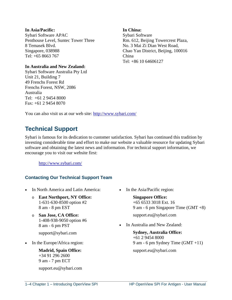#### **In Asia/Pacific:**  Sybari Software APAC Penthouse Level, Suntec Tower Three 8 Temasek Blvd. Singapore, 038988 Tel: +65 8663 767

#### **In Australia and New Zealand:**

Sybari Software Australia Pty Ltd Unit 21, Building 7 49 Frenchs Forest Rd Frenchs Forest, NSW, 2086 Australia Tel: +61 2 9454 8000 Fax: +61 2 9454 8070

#### **In China:**

Sybari Software Rm. 612, Beijing Towercrest Plaza, No. 3 Mai Zi Dian West Road, Chao Yan District, Beijing, 100016 China Tel: +86 10 64606127

You can also visit us at our web site: http://www.sybari.com/

## **Technical Support**

Sybari is famous for its dedication to customer satisfaction. Sybari has continued this tradition by investing considerable time and effort to make our website a valuable resource for updating Sybari software and obtaining the latest news and information. For technical support information, we encour[age you to visit our webs](http://www.sybari.com/)ite first:

http://www.sybari.com/

### **Contacting Our Technical Support Team**

- In North America and Latin America:
	- o **East Northport, NY Office:** 1-631-630-8500 option #2 8 am - 8 pm EST
	- o **San Jose, CA Office:** 1-408-938-9050 option #6 8 am - 6 pm PST

support@sybari.com

• In the Europe/Africa region:

**Madrid, Spain Office:** +34 91 296 2600 9 am - 7 pm ECT

support.eu@sybari.com

• In the Asia/Pacific region:

**Singapore Office:** +65 6533 3018 Ext. 16 9 am - 6 pm Singapore Time (GMT +8) support.eu@sybari.com

In Australia and New Zealand:

**Sydney, Australia Office:** +61 2 9454 8000 9 am - 6 pm Sydney Time (GMT +11) support.eu@sybari.com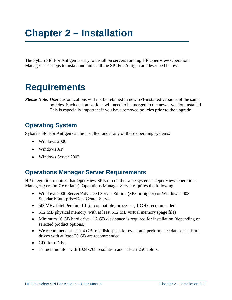# **Chapter 2 – Installation**

The Sybari SPI For Antigen is easy to install on servers running HP OpenView Operations Manager. The steps to install and uninstall the SPI For Antigen are described below.

# **Requirements**

*Please Note:* User customizations will not be retained in new SPI-installed versions of the same policies. Such customizations will need to be merged to the newer version installed. This is especially important if you have removed policies prior to the upgrade

## **Operating System**

Sybari's SPI For Antigen can be installed under any of these operating systems:

- Windows 2000
- Windows XP
- Windows Server 2003

## **Operations Manager Server Requirements**

HP integration requires that OpenView SPIs run on the same system as OpenView Operations Manager (version 7.*x* or later). Operations Manager Server requires the following:

- Windows 2000 Server/Advanced Server Edition (SP3 or higher) or Windows 2003 Standard/Enterprise/Data Center Server.
- 500MHz Intel Pentium III (or compatible) processor, 1 GHz recommended.
- 512 MB physical memory, with at least 512 MB virtual memory (page file)
- Minimum 10 GB hard drive. 1.2 GB disk space is required for installation (depending on selected product options.)
- We recommend at least 4 GB free disk space for event and performance databases. Hard drives with at least 20 GB are recommended.
- CD Rom Drive
- 17 Inch monitor with 1024x768 resolution and at least 256 colors.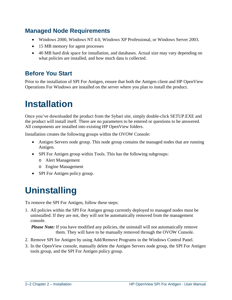## **Managed Node Requirements**

- Windows 2000, Windows NT 4.0, Windows XP Professional, or Windows Server 2003.
- 15 MB memory for agent processes
- 40 MB hard disk space for installation, and databases. Actual size may vary depending on what policies are installed, and how much data is collected.

## **Before You Start**

Prior to the installation of SPI For Antigen, ensure that both the Antigen client and HP OpenView Operations For Windows are installed on the server where you plan to install the product.

# **Installation**

Once you've downloaded the product from the Sybari site, simply double-click SETUP.EXE and the product will install itself. There are no parameters to be entered or questions to be answered. All components are installed into existing HP OpenView folders.

Installation creates the following groups within the OVOW Console:

- Antigen Servers node group. This node group contains the managed nodes that are running Antigen.
- SPI For Antigen group within Tools. This has the following subgroups:
	- o Alert Management
	- o Engine Management
- SPI For Antigen policy group.

# **Uninstalling**

To remove the SPI For Antigen, follow these steps:

1. All policies within the SPI For Antigen group currently deployed to managed nodes must be uninstalled. If they are not, they will not be automatically removed from the management console.

*Please Note:* If you have modified any policies, the uninstall will not automatically remove them. They will have to be manually removed through the OVOW Console.

- 2. Remove SPI for Antigen by using Add/Remove Programs in the Windows Control Panel.
- 3. In the OpenView console, manually delete the Antigen Servers node group, the SPI For Antigen tools group, and the SPI For Antigen policy group.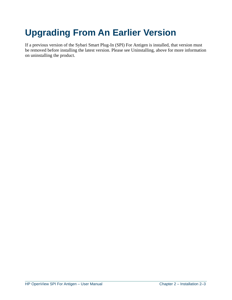# **Upgrading From An Earlier Version**

If a previous version of the Sybari Smart Plug-In (SPI) For Antigen is installed, that version must be removed before installing the latest version. Please see Uninstalling, above for more information on uninstalling the product.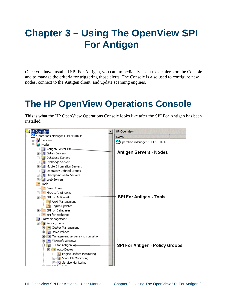# **Chapter 3 – Using The OpenView SPI For Antigen**

Once you have installed SPI For Antigen, you can immediately use it to see alerts on the Console and to manage the criteria for triggering those alerts. The Console is also used to configure new nodes, connect to the Antigen client, and update scanning engines.

# **The HP OpenView Operations Console**

This is what the HP OpenView Operations Console looks like after the SPI For Antigen has been installed:

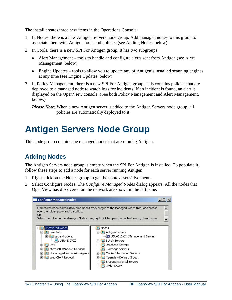The install creates three new items in the Operations Console:

- 1. In Nodes, there is a new Antigen Servers node group. Add managed nodes to this group to associate them with Antigen tools and policies (see Adding Nodes, below).
- 2. In Tools, there is a new SPI For Antigen group. It has two subgroups:
	- Alert Management tools to handle and configure alerts sent from Antigen (see Alert Management, below).
	- Engine Updates tools to allow you to update any of Antigen's installed scanning engines at any time (see Engine Updates, below).
- 3. In Policy Management, there is a new SPI For Antigen group. This contains policies that are deployed to a managed node to watch logs for incidents. If an incident is found, an alert is displayed on the OpenView console. (See both Policy Management and Alert Management, below.)

*Please Note:* When a new Antigen server is added to the Antigen Servers node group, all policies are automatically deployed to it.

# **Antigen Servers Node Group**

This node group contains the managed nodes that are running Antigen.

## **Adding Nodes**

The Antigen Servers node group is empty when the SPI For Antigen is installed. To populate it, follow these steps to add a node for each server running Antigen:

- 1. Right-click on the Nodes group to get the context-sensitive menu.
- 2. Select Configure Nodes. The *Configure Managed Nodes* dialog appears. All the nodes that OpenView has discovered on the network are shown in the left pane.

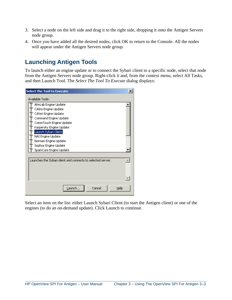- 3. Select a node on the left side and drag it to the right side, dropping it onto the Antigen Servers node group.
- 4. Once you have added all the desired nodes, click OK to return to the Console. All the nodes will appear under the Antigen Servers node group.

## **Launching Antigen Tools**

To launch either an engine update or to connect the Sybari client to a specific node, select that node from the Antigen Servers node group. Right-click it and, from the context menu, select All Tasks, and then Launch Tool. The *Select The Tool To Execute* dialog displays:

| $\boldsymbol{\mathsf{x}}$<br><b>Select the Tool to Execute</b> |
|----------------------------------------------------------------|
| Available Tools:                                               |
| AhnLab Engine Update                                           |
| CAIris Engine Update                                           |
| CAVet Engine Update                                            |
| Command Engine Update                                          |
| CommTouch Engine Update                                        |
| Kaspersky Engine Update                                        |
| [Launch Sybari Client]                                         |
| NAI Engine Update                                              |
| Norman Engine Update                                           |
| Sophos Engine Update                                           |
| SpamCure Engine Update                                         |
|                                                                |
| Launches the Sybari client and connects to selected server.    |
| Cancel<br>Launch<br>Help                                       |

Select an item on the list: either Launch Sybari Client (to start the Antigen client) or one of the engines (to do an on-demand update). Click Launch to continue.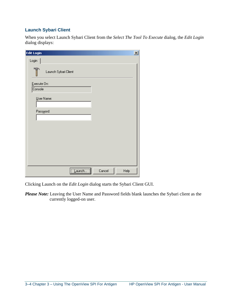### **Launch Sybari Client**

When you select Launch Sybari Client from the *Select The Tool To Execute* dialog, the *Edit Login* dialog displays:

| <b>Edit Login</b>    | $\vert x \vert$ |
|----------------------|-----------------|
| Login                |                 |
| Launch Sybari Client |                 |
| Execute On:          |                 |
| Console              |                 |
| User Name:           |                 |
|                      |                 |
| Password:            |                 |
|                      |                 |
|                      |                 |
|                      |                 |
|                      |                 |
|                      |                 |
|                      |                 |
|                      |                 |
| Cancel               | Help            |

Clicking Launch on the *Edit Login* dialog starts the Sybari Client GUI.

*Please Note:* Leaving the User Name and Password fields blank launches the Sybari client as the currently logged-on user.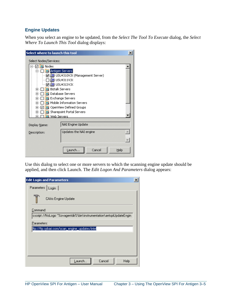### **Engine Updates**

When you select an engine to be updated, from the *Select The Tool To Execute* dialog, the *Select Where To Launch This Tool* dialog displays:

| Select where to launch this tool                                                                                                                                                                                     |                                                                                                                                                                                                                                                          | $\times$         |
|----------------------------------------------------------------------------------------------------------------------------------------------------------------------------------------------------------------------|----------------------------------------------------------------------------------------------------------------------------------------------------------------------------------------------------------------------------------------------------------|------------------|
| Select Nodes/Services:                                                                                                                                                                                               |                                                                                                                                                                                                                                                          |                  |
| ☑ 및 Nodes<br>–⊢<br>— <b>☑∰</b> USU4313VJX<br>101<br>$\overline{+}$<br>$\overline{+}$<br>$\overline{+}$<br>TПL<br>$\overline{+}$<br>$\overline{+}$<br>TO)<br>$\overline{+}$<br><b>D</b> Web Servers<br>$\overline{+}$ | Antigen Servers<br>☑ 19 USU4310VJX (Management Server)<br>$\Box$ (国) USU4311VJX<br><b>Biztalk Servers</b><br>Database Servers<br><b>Exchange Servers</b><br>Mobile Information Servers<br>OpenView Defined Groups<br><b>D.</b> Sharepoint Portal Servers |                  |
| Display Name:                                                                                                                                                                                                        | NAI Engine Update                                                                                                                                                                                                                                        |                  |
| Description:                                                                                                                                                                                                         | Updates the NAI engine                                                                                                                                                                                                                                   | $\blacktriangle$ |
|                                                                                                                                                                                                                      | Cancel<br>Launch<br>Help                                                                                                                                                                                                                                 |                  |

Use this dialog to select one or more servers to which the scanning engine update should be applied, and then click Launch. The *Edit Logon And Parameters* dialog appears:

| <b>Edit Login and Parameters</b>                                     |  |
|----------------------------------------------------------------------|--|
| Parameters<br>Login                                                  |  |
| CAIris Engine Update                                                 |  |
| Command:                                                             |  |
| cscript //NoLogo "%ovagentdir%\bin\instrumentation\antspiUpdateEngin |  |
| Parameters:                                                          |  |
| ftp://ftp.sybari.com/scan_engine_updates/intel                       |  |
|                                                                      |  |
|                                                                      |  |
|                                                                      |  |
|                                                                      |  |
| Cancel<br>Help<br>Launch                                             |  |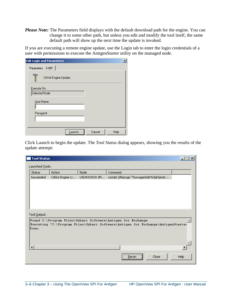*Please Note:* The Parameters field displays with the default download path for the engine. You can change it to some other path, but unless you edit and modify the tool itself, the same default path will show up the next time the update is invoked.

If you are executing a remote engine update, use the Login tab to enter the login credentials of a user with permissions to execute the AntigenStarter utility on the managed node.

| $\overline{\mathbf{x}}$<br><b>Edit Login and Parameters</b> |
|-------------------------------------------------------------|
| Login<br>Parameters                                         |
| CAVet Engine Update                                         |
| Execute On:                                                 |
| Selected Node                                               |
| User Name:                                                  |
|                                                             |
| Password:                                                   |
|                                                             |
|                                                             |
| Cancel<br>Help<br>Launch                                    |

Click Launch to begin the update. The *Tool Status* dialog appears, showing you the results of the update attempt:

| <b>Tool Status</b> |                 |               |                                                                                 |  |
|--------------------|-----------------|---------------|---------------------------------------------------------------------------------|--|
| Launched Tools:    |                 |               |                                                                                 |  |
| <b>Status</b>      | <b>Action</b>   | Node          | Command                                                                         |  |
| Succeeded          | CAIris Engine U | USU4310VJX (M | cscript //NoLogo "%ovagentdir%\bin\instr                                        |  |
|                    |                 |               |                                                                                 |  |
|                    |                 |               |                                                                                 |  |
|                    |                 |               |                                                                                 |  |
|                    |                 |               |                                                                                 |  |
|                    |                 |               |                                                                                 |  |
|                    |                 |               |                                                                                 |  |
| Tool Output:       |                 |               |                                                                                 |  |
|                    |                 |               | Found C:\Program Files\Sybari Software\Antigen for Exchange                     |  |
| Done.              |                 |               | Executing "C:\Program Files\Sybari Software\Antigen for Exchange\AntigenStarter |  |
|                    |                 |               |                                                                                 |  |
|                    |                 |               |                                                                                 |  |
|                    |                 |               |                                                                                 |  |
|                    |                 |               |                                                                                 |  |
|                    |                 |               |                                                                                 |  |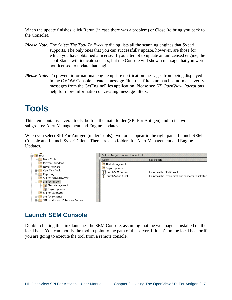When the update finishes, click Rerun (in case there was a problem) or Close (to bring you back to the Console).

- *Please Note:* The *Select The Tool To Execute* dialog lists all the scanning engines that Sybari supports. The only ones that you can successfully update, however, are those for which you have obtained a license. If you attempt to update an unlicensed engine, the Tool Status will indicate success, but the Console will show a message that you were not licensed to update that engine.
- *Please Note:* To prevent informational engine update notification messages from being displayed in the OVOW Console, create a message filter that filters unmatched normal severity messages from the GetEngineFiles application. Please see *HP OpenView Operations* help for more information on creating message filters.

# **Tools**

This item contains several tools, both in the main folder (SPI For Antigen) and in its two subgroups: Alert Management and Engine Updates.

When you select SPI For Antigen (under Tools), two tools appear in the right pane: Launch SEM Console and Launch Sybari Client. There are also folders for Alert Management and Engine Updates.



## **Launch SEM Console**

Double-clicking this link launches the SEM Console, assuming that the web page is installed on the local host. You can modify the tool to point to the path of the server, if it isn't on the local host or if you are going to execute the tool from a remote console.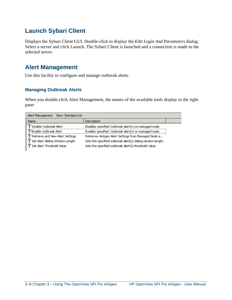## **Launch Sybari Client**

Displays the Sybari Client GUI. Double-click to display the *Edit Login And Parameters* dialog. Select a server and click Launch. The Sybari Client is launched and a connection is made to the selected server.

## **Alert Management**

Use this facility to configure and manage outbreak alerts.

### **Managing Outbreak Alerts**

When you double-click Alert Management, the names of the available tools display in the right pane:

| Alert Management View: Standard List |                                                             |
|--------------------------------------|-------------------------------------------------------------|
| <b>Name</b>                          | Description                                                 |
| Disable Outbreak Alert               | Disables specified Outbreak alert(s) on managed node.       |
| Enable Outbreak Alert®               | Enables specified Outbreak alert(s) on managed node.        |
| Retrieve and View Alert Settings     | Retrieves Antigen Alert Settings from Managed Node a        |
| Set Alert Sliding Window Length      | Sets the specified outbreak alert(s) sliding window length. |
| Set Alert Threshold Value            | Sets the specified outbreak alert(s) threshold value.       |
|                                      |                                                             |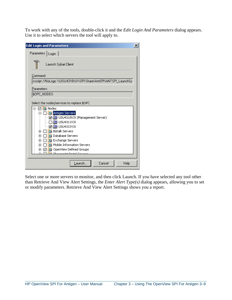To work with any of the tools, double-click it and the *Edit Login And Parameters* dialog appears. Use it to select which servers the tool will apply to.

| <b>Edit Login and Parameters</b>                                                                                                                                                                                                                                                                                                                                                                                                                     | $\times$ |
|------------------------------------------------------------------------------------------------------------------------------------------------------------------------------------------------------------------------------------------------------------------------------------------------------------------------------------------------------------------------------------------------------------------------------------------------------|----------|
| Parameters  <br>Login                                                                                                                                                                                                                                                                                                                                                                                                                                |          |
| Launch Sybari Client                                                                                                                                                                                                                                                                                                                                                                                                                                 |          |
| Command:                                                                                                                                                                                                                                                                                                                                                                                                                                             |          |
| cscript //NoLogo \\USU4310VJX\SPI-Share\AntSPI\ANTSPI_LaunchSy                                                                                                                                                                                                                                                                                                                                                                                       |          |
| Parameters:                                                                                                                                                                                                                                                                                                                                                                                                                                          |          |
| \$OPC_NODES                                                                                                                                                                                                                                                                                                                                                                                                                                          |          |
| Select the nodes/services to replace \$OPC                                                                                                                                                                                                                                                                                                                                                                                                           |          |
| <b>DI</b> Nodes<br>✓<br>白 □ □ <mark>□</mark> Antigen Servers<br>… ☑ 追り USU4310VJX (Management Server)<br>1 <b>1回</b> USU4311VJX<br>— <b> o (@)</b> USU4313VJX<br><b>D.</b> Biztalk Servers<br>$\overline{+}$<br>Database Servers<br>$\overline{+}$<br>] [ G Exchange Servers<br>$\overline{+}$<br>Mobile Information Servers<br>$\overline{+}$<br>о<br>OpenView Defined Groups<br>$+ \cdots \vee$<br>teral information of the matter of the contract |          |
| Launch<br>Cancel<br>Help                                                                                                                                                                                                                                                                                                                                                                                                                             |          |

Select one or more servers to monitor, and then click Launch. If you have selected any tool other than Retrieve And View Alert Settings, the *Enter Alert Type(s)* dialog appears, allowing you to set or modify parameters. Retrieve And View Alert Settings shows you a report.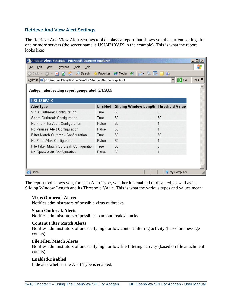### **Retrieve And View Alert Settings**

The Retrieve And View Alert Settings tool displays a report that shows you the current settings for one or more servers (the server name is USU4310VJX in the example). This is what the report looks like:

| Antigen Alert Settings - Microsoft Internet Explorer                                     |                |                                       |             | $ \Box$ $\times$          |
|------------------------------------------------------------------------------------------|----------------|---------------------------------------|-------------|---------------------------|
| Edit<br>Tools<br>View<br>Favorites<br>File<br>Help                                       |                |                                       |             | Æ                         |
| $\Box$<br>$\vert x \vert$<br>$\bigcirc$ Back $\rightarrow$                               |                | Search Scravorites Stredia &          | 戯           |                           |
| Address $ \hat{\mathcal{C}} $ C:\Program Files\HP OpenView\bin\AntigenAlertSettings.html |                |                                       | ∍<br>Go     | Links <sup>&gt;&gt;</sup> |
| Antigen alert setting report gengerated: 2/1/2005<br>USU4310VJX                          |                |                                       |             |                           |
| AlertType                                                                                | <b>Enabled</b> | Sliding Window Length Threshold Value |             |                           |
| Virus Outbreak Configuration                                                             | True           | 60                                    | 5           |                           |
| Spam Outbreak Configuration                                                              | True           | 60                                    | 30          |                           |
| No File Filter Alert Configuration                                                       | False          | 60                                    | 1           |                           |
| No Viruses Alert Configuration                                                           | False          | 60                                    |             |                           |
| Filter Match Outbreak Configuration                                                      | True           | 60                                    | 30          |                           |
| No Filter Alert Configuration                                                            | False          | 60                                    |             |                           |
| File Filter Match Outbreak Configuration                                                 | True           | 60                                    | 5           |                           |
| No Spam Alert Configuration                                                              | False          | 60                                    | 1           |                           |
|                                                                                          |                |                                       |             |                           |
|                                                                                          |                |                                       |             |                           |
| Done                                                                                     |                |                                       | My Computer |                           |

The report tool shows you, for each Alert Type, whether it's enabled or disabled, as well as its Sliding Window Length and its Threshold Value. This is what the various types and values mean:

#### **Virus Outbreak Alerts**

Notifies administrators of possible virus outbreaks.

#### **Spam Outbreak Alerts**

Notifies administrators of possible spam outbreaks/attacks.

#### **Content Filter Match Alerts**

Notifies administrators of unusually high or low content filtering activity (based on message counts).

#### **File Filter Match Alerts**

Notifies administrators of unusually high or low file filtering activity (based on file attachment counts).

#### **Enabled/Disabled**

Indicates whether the Alert Type is enabled.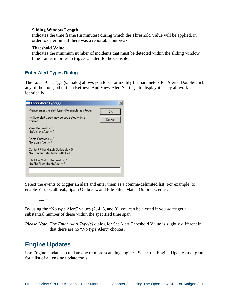#### **Sliding Window Length**

Indicates the time frame (in minutes) during which the Threshold Value will be applied, in order to determine if there was a reportable outbreak.

#### **Threshold Value**

Indicates the minimum number of incidents that must be detected within the sliding window time frame, in order to trigger an alert to the Console.

#### **Enter Alert Types Dialog**

The *Enter Alert Type(s)* dialog allows you to set or modify the parameters for Alerts. Double-click any of the tools, other than Retrieve And View Alert Settings, to display it. They all work identically.

| <b>Enter Alert Type(s)</b>                                             |        |
|------------------------------------------------------------------------|--------|
| Please enter the alert type(s) to enable as integer.                   | OK.    |
| Multiple alert types may be separated with a<br>comma.                 | Cancel |
| Virus Outbreak = 1<br>$No Viruses$ Alert = 2                           |        |
| Spam Outbreak = 3<br>No Spam Alert = 4                                 |        |
| Content Filter Match Outbreak = 5<br>No Content Filter Match Alert = 6 |        |
| File Filter Match Outbreak = 7<br>No File Filter Match Alert = 8       |        |
|                                                                        |        |

Select the events to trigger an alert and enter them as a comma-delimited list. For example, to enable Virus Outbreak, Spam Outbreak, and File Filter Match Outbreak, enter:

#### 1,3,7

By using the "No *type* Alert" values (2, 4, 6, and 8), you can be alerted if you *don't* get a substantial number of these within the specified time span.

*Please Note:* The *Enter Alert Type(s)* dialog for Set Alert Threshold Value is slightly different in that there are no "No *type* Alert" choices.

### **Engine Updates**

Use Engine Updates to update one or more scanning engines. Select the Engine Updates tool group for a list of all engine update tools.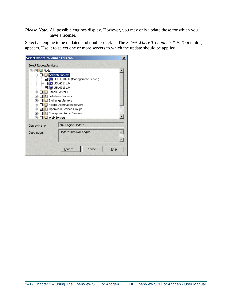*Please Note:* All possible engines display. However, you may only update those for which you have a license.

Select an engine to be updated and double-click it. The *Select Where To Launch This Tool* dialog appears. Use it to select one or more servers to which the update should be applied.

| Select where to launch this tool                         |                                     | ×        |
|----------------------------------------------------------|-------------------------------------|----------|
| Select Nodes/Services:                                   |                                     |          |
| ☑ <mark>□</mark> Nodes                                   |                                     |          |
| 白 □ □ □ Antigen Servers                                  |                                     |          |
|                                                          | ☑ 10 USU4310VJX (Management Server) |          |
| $\square$ ig) USU4311VJX                                 |                                     |          |
| — <mark>v (@</mark> ) USU4313VJX                         |                                     |          |
| □ <mark>回</mark> Biztalk Servers<br>$\overline{+}$<br>пu | Database Servers                    |          |
| $\overline{+}$<br>Ⅰ□ Exchange Servers<br>ஈ               |                                     |          |
| $\overline{+}$                                           | Mobile Information Servers          |          |
| ஈ                                                        | OpenView Defined Groups             |          |
| $+$                                                      | Sharepoint Portal Servers           |          |
| <b>D</b> Web Servers<br>⊞…                               |                                     |          |
|                                                          |                                     |          |
| <b>Display Name:</b>                                     | NAI Engine Update                   |          |
| Description:                                             | Updates the NAI engine              | $\equiv$ |
|                                                          |                                     |          |
|                                                          |                                     |          |
|                                                          | Launch<br>Cancel<br>Help            |          |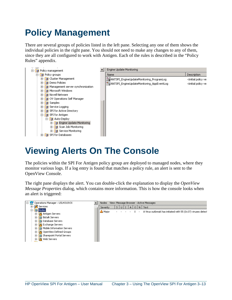# **Policy Management**

There are several groups of policies listed in the left pane. Selecting any one of them shows the individual policies in the right pane. You should not need to make any changes to any of them, since they are all configured to work with Antigen. Each of the rules is described in the "Policy Rules" appendix.



# **Viewing Alerts On The Console**

The policies within the SPI For Antigen policy group are deployed to managed nodes, where they monitor various logs. If a log entry is found that matches a policy rule, an alert is sent to the OpenView Console.

The right pane displays the alert. You can double-click the explanation to display the *OpenView Message Properties* dialog, which contains more information. This is how the console looks when an alert is triggered:

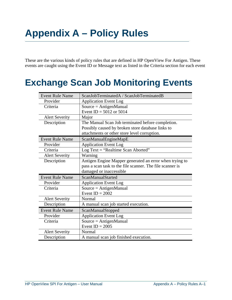# **Appendix A – Policy Rules**

These are the various kinds of policy rules that are defined in HP OpenView For Antigen. These events are caught using the Event ID or Message text as listed in the Criteria section for each event

# **Exchange Scan Job Monitoring Events**

| <b>Event Rule Name</b> | ScanJobTerminatedA / ScanJobTerminatedB                   |
|------------------------|-----------------------------------------------------------|
| Provider               | <b>Application Event Log</b>                              |
| Criteria               | $Source = AntigenManual$                                  |
|                        | Event ID = $5012$ or $5014$                               |
| <b>Alert Severity</b>  | Major                                                     |
| Description            | The Manual Scan Job terminated before completion.         |
|                        | Possibly caused by broken store database links to         |
|                        | attachments or other store level corruption.              |
| <b>Event Rule Name</b> | ScanManualEngineMapE                                      |
| Provider               | <b>Application Event Log</b>                              |
| Criteria               | Log Text = "Realtime Scan Aborted"                        |
| <b>Alert Severity</b>  | Warning                                                   |
| Description            | Antigen Engine Mapper generated an error when trying to   |
|                        | pass a scan task to the file scanner. The file scanner is |
|                        | damaged or inaccessible                                   |
| <b>Event Rule Name</b> | <b>ScanManualStarted</b>                                  |
| Provider               | <b>Application Event Log</b>                              |
| Criteria               | $Source = AntigenManual$                                  |
|                        | Event $ID = 2002$                                         |
| <b>Alert Severity</b>  | Normal                                                    |
| Description            | A manual scan job started execution.                      |
| <b>Event Rule Name</b> | ScanManualStopped                                         |
| Provider               | <b>Application Event Log</b>                              |
| Criteria               | $Source = AntigenManual$                                  |
|                        | Event $ID = 2005$                                         |
| <b>Alert Severity</b>  | Normal                                                    |
| Description            | A manual scan job finished execution.                     |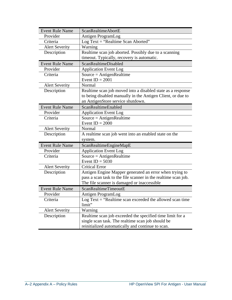| <b>Event Rule Name</b> | ScanRealtimeAbortE                                             |
|------------------------|----------------------------------------------------------------|
| Provider               | Antigen ProgramLog                                             |
| Criteria               | Log Text = "Realtime Scan Aborted"                             |
| <b>Alert Severity</b>  | Warning                                                        |
| Description            | Realtime scan job aborted. Possibly due to a scanning          |
|                        | timeout. Typically, recovery is automatic.                     |
| <b>Event Rule Name</b> | <b>ScanRealtimeDisabled</b>                                    |
| Provider               | <b>Application Event Log</b>                                   |
| Criteria               | $Source = AntigenRealtime$                                     |
|                        | Event $ID = 2001$                                              |
| <b>Alert Severity</b>  | Normal                                                         |
| Description            | Realtime scan job moved into a disabled state as a response    |
|                        | to being disabled manually in the Antigen Client, or due to    |
|                        | an AntigenStore service shutdown.                              |
| <b>Event Rule Name</b> | ScanRealtimeEnabled                                            |
| Provider               | <b>Application Event Log</b>                                   |
| Criteria               | $Source = AntigenRealtime$                                     |
|                        | Event $ID = 2000$                                              |
| <b>Alert Severity</b>  | Normal                                                         |
| Description            | A realtime scan job went into an enabled state on the          |
|                        | system.                                                        |
| <b>Event Rule Name</b> | ScanRealtimeEngineMapE                                         |
| Provider               | <b>Application Event Log</b>                                   |
| Criteria               | $Source = AntigenRealtime$                                     |
|                        | Event $ID = 5030$                                              |
| <b>Alert Severity</b>  | <b>Critical Error</b>                                          |
| Description            | Antigen Engine Mapper generated an error when trying to        |
|                        | pass a scan task to the file scanner in the realtime scan job. |
|                        | The file scanner is damaged or inaccessible                    |
| <b>Event Rule Name</b> | ScanRealtimeTimeoutE                                           |
| Provider               | Antigen ProgramLog                                             |
| Criteria               | Log Text $=$ "Realtime scan exceeded the allowed scan time     |
|                        | limit"                                                         |
| <b>Alert Severity</b>  | Warning                                                        |
| Description            | Realtime scan job exceeded the specified time limit for a      |
|                        | single scan task. The realtime scan job should be              |
|                        | reinitialized automatically and continue to scan.              |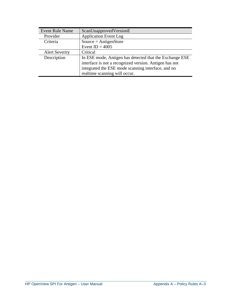| <b>Event Rule Name</b> | ScanUnapprovedVersionE                                  |
|------------------------|---------------------------------------------------------|
| Provider               | <b>Application Event Log</b>                            |
| Criteria               | $Source = AntigenStore$                                 |
|                        | Event $ID = 4005$                                       |
| <b>Alert Severity</b>  | Critical                                                |
| Description            | In ESE mode, Antigen has detected that the Exchange ESE |
|                        | interface is not a recognized version. Antigen has not  |
|                        | integrated the ESE mode scanning interface, and no      |
|                        | realtime scanning will occur.                           |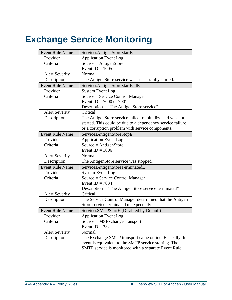# **Exchange Service Monitoring**

| <b>Event Rule Name</b> | ServicesAntigenStoreStartE                                  |
|------------------------|-------------------------------------------------------------|
| Provider               | <b>Application Event Log</b>                                |
| Criteria               | $Source = AntigenStore$                                     |
|                        | Event $ID = 1005$                                           |
| <b>Alert Severity</b>  | Normal                                                      |
| Description            | The AntigenStore service was successfully started.          |
| <b>Event Rule Name</b> | ServicesAntigenStoreStartFailE                              |
| Provider               | <b>System Event Log</b>                                     |
| Criteria               | Source = Service Control Manager                            |
|                        | Event ID = $7000$ or $7001$                                 |
|                        | Description = "The AntigenStore service"                    |
| <b>Alert Severity</b>  | Critical                                                    |
| Description            | The AntigenStore service failed to initialize and was not   |
|                        | started. This could be due to a dependency service failure, |
|                        | or a corruption problem with service components.            |
| <b>Event Rule Name</b> | ServicesAntigenStoreStopE                                   |
| Provider               | <b>Application Event Log</b>                                |
| Criteria               | $Source = AntigenStore$                                     |
|                        | Event $ID = 1006$                                           |
| <b>Alert Severity</b>  | Normal                                                      |
| Description            | The AntigenStore service was stopped.                       |
| <b>Event Rule Name</b> | ServicesAntigenStoreTerminatedE                             |
| Provider               | <b>System Event Log</b>                                     |
| Criteria               | Source = Service Control Manager                            |
|                        | Event ID = $7034$                                           |
|                        | Description = "The AntigenStore service terminated"         |
| <b>Alert Severity</b>  | Critical                                                    |
| Description            | The Service Control Manager determined that the Antigen     |
|                        | Store service terminated unexpectedly.                      |
| <b>Event Rule Name</b> | ServicesSMTPStartE (Disabled by Default)                    |
| Provider               | <b>Application Event Log</b>                                |
| Criteria               | $Source = MSExchangeTransport$                              |
|                        | Event $ID = 332$                                            |
| <b>Alert Severity</b>  | Normal                                                      |
| Description            | The Exchange SMTP transport came online. Basically this     |
|                        | event is equivalent to the SMTP service starting. The       |
|                        | SMTP service is monitored with a separate Event Rule.       |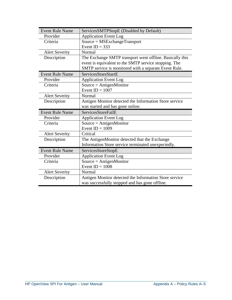| <b>Event Rule Name</b> | ServicesSMTPStopE (Disabled by Default)                  |
|------------------------|----------------------------------------------------------|
| Provider               | <b>Application Event Log</b>                             |
| Criteria               | $Source = MSE \times change Transport$                   |
|                        | Event $ID = 333$                                         |
| <b>Alert Severity</b>  | Normal                                                   |
| Description            | The Exchange SMTP transport went offline. Basically this |
|                        | event is equivalent to the SMTP service stopping. The    |
|                        | SMTP service is monitored with a separate Event Rule.    |
| <b>Event Rule Name</b> | <b>ServicesStoreStartE</b>                               |
| Provider               | <b>Application Event Log</b>                             |
| Criteria               | $Source = AntigenMonitor$                                |
|                        | Event $ID = 1007$                                        |
| <b>Alert Severity</b>  | Normal                                                   |
| Description            | Antigen Monitor detected the Information Store service   |
|                        | was started and has gone online.                         |
| <b>Event Rule Name</b> | ServicesStoreFailE                                       |
| Provider               | <b>Application Event Log</b>                             |
| Criteria               | $Source = AntigenMonitor$                                |
|                        | Event $ID = 1009$                                        |
| <b>Alert Severity</b>  | Critical                                                 |
| Description            | The AntigenMonitor detected that the Exchange            |
|                        | Information Store service terminated unexpectedly.       |
| <b>Event Rule Name</b> | ServicesStoreStopE                                       |
| Provider               | <b>Application Event Log</b>                             |
| Criteria               | Source = $AntigenMonitor$                                |
|                        | Event $ID = 1008$                                        |
| <b>Alert Severity</b>  | Normal                                                   |
| Description            | Antigen Monitor detected the Information Store service   |
|                        | was successfully stopped and has gone offline.           |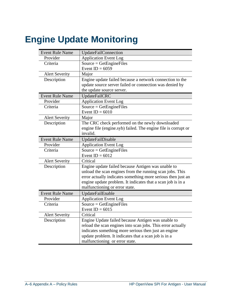# **Engine Update Monitoring**

| <b>Event Rule Name</b> | <b>UpdateFailConnection</b>                                    |
|------------------------|----------------------------------------------------------------|
| Provider               | <b>Application Event Log</b>                                   |
| Criteria               | $Source = GetEngineeringFiles$                                 |
|                        | Event ID = $6059$                                              |
| <b>Alert Severity</b>  | Major                                                          |
| Description            | Engine update failed because a network connection to the       |
|                        | update source server failed or connection was denied by        |
|                        | the update source server.                                      |
| <b>Event Rule Name</b> | UpdateFailCRC                                                  |
| Provider               | <b>Application Event Log</b>                                   |
| Criteria               | $Source = GetEngineeringFiles$                                 |
|                        | Event $ID = 6010$                                              |
| <b>Alert Severity</b>  | Major                                                          |
| Description            | The CRC check performed on the newly downloaded                |
|                        | engine file (engine.syb) failed. The engine file is corrupt or |
|                        | invalid.                                                       |
| <b>Event Rule Name</b> | UpdateFailDisable                                              |
| Provider               | <b>Application Event Log</b>                                   |
| Criteria               | $Source = GetEngineeringFiles$                                 |
|                        | Event $ID = 6012$                                              |
| <b>Alert Severity</b>  | Critical                                                       |
| Description            | Engine update failed because Antigen was unable to             |
|                        | unload the scan engines from the running scan jobs. This       |
|                        | error actually indicates something more serious then just an   |
|                        | engine update problem. It indicates that a scan job is in a    |
|                        | malfunctioning or error state.                                 |
| <b>Event Rule Name</b> | UpdateFailEnable                                               |
| Provider               | <b>Application Event Log</b>                                   |
| Criteria               | $Source = GetEngineeringFiles$                                 |
|                        | Event $ID = 6015$                                              |
| <b>Alert Severity</b>  | Critical                                                       |
| Description            | Engine Update failed because Antigen was unable to             |
|                        | reload the scan engines into scan jobs. This error actually    |
|                        | indicates something more serious then just an engine           |
|                        | update problem. It indicates that a scan job is in a           |
|                        | malfunctioning or error state.                                 |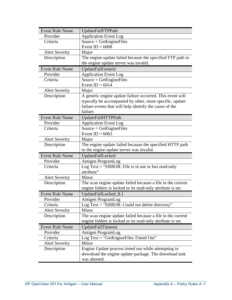| <b>Event Rule Name</b> | UpdateFailFTPPath                                           |
|------------------------|-------------------------------------------------------------|
| Provider               | <b>Application Event Log</b>                                |
| Criteria               | $Source = GetEngineeringFiles$                              |
|                        | Event $ID = 6008$                                           |
| <b>Alert Severity</b>  | Major                                                       |
| Description            | The engine update failed because the specified FTP path to  |
|                        | the engine update server was invalid.                       |
| <b>Event Rule Name</b> | UpdateFailGeneric                                           |
| Provider               | <b>Application Event Log</b>                                |
| Criteria               | $Source = GetEngineeringFiles$                              |
|                        | Event $ID = 6014$                                           |
| <b>Alert Severity</b>  | Major                                                       |
| Description            | A generic engine update failure occurred. This event will   |
|                        | typically be accompanied by other, more specific, update    |
|                        | failure events that will help identify the cause of the     |
|                        | failure.                                                    |
| <b>Event Rule Name</b> | UpdateFailHTTPPath                                          |
| Provider               | <b>Application Event Log</b>                                |
| Criteria               | $Source = GetEngineeringFiles$                              |
|                        | Event $ID = 6063$                                           |
| <b>Alert Severity</b>  | Major                                                       |
| Description            | The engine update failed because the specified HTTP path    |
|                        | to the engine update server was invalid.                    |
| <b>Event Rule Name</b> | UpdateFailLocked                                            |
| Provider               | Antigen ProgramLog                                          |
| Criteria               | Log Text = "ERROR: File is in use or has read-only          |
|                        | attribute"                                                  |
| <b>Alert Severity</b>  | Minor                                                       |
| Description            | The scan engine update failed because a file in the current |
|                        | engine folders is locked or its read-only attribute is set. |
| <b>Event Rule Name</b> | UpdateFailLocked 8.1                                        |
| Provider               | Antigen ProgramLog                                          |
| Criteria               | Log Text $=$ "ERROR: Could not delete directory"            |
| <b>Alert Severity</b>  | Minor                                                       |
| Description            | The scan engine update failed because a file in the current |
|                        | engine folders is locked or its read-only attribute is set. |
| <b>Event Rule Name</b> | UpdateFailTimeout                                           |
| Provider               | Antigen ProgramLog                                          |
| Criteria               | Log Text = "GetEngineFiles Timed Out"                       |
| <b>Alert Severity</b>  | Minor                                                       |
| Description            | Engine Update process timed out while attempting to         |
|                        | download the engine update package. The download task       |
|                        | was aborted.                                                |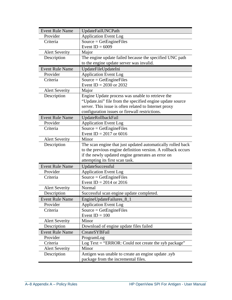| <b>Event Rule Name</b> | UpdateFailUNCPath                                            |
|------------------------|--------------------------------------------------------------|
| Provider               | <b>Application Event Log</b>                                 |
| Criteria               | $Source = GetEngineeringFiles$                               |
|                        | Event $ID = 6009$                                            |
| <b>Alert Severity</b>  | Major                                                        |
| Description            | The engine update failed because the specified UNC path      |
|                        | to the engine update server was invalid.                     |
| <b>Event Rule Name</b> | UpdateFileUpdateIni                                          |
| Provider               | <b>Application Event Log</b>                                 |
| Criteria               | $Source = GetEngineeringFiles$                               |
|                        | Event ID = 2030 or 2032                                      |
| <b>Alert Severity</b>  | Major                                                        |
| Description            | Engine Update process was unable to retrieve the             |
|                        | "Update.ini" file from the specified engine update source    |
|                        | server. This issue is often related to Internet proxy        |
|                        | configuration issues or firewall restrictions.               |
| <b>Event Rule Name</b> | UpdateRollbackFail                                           |
| Provider               | <b>Application Event Log</b>                                 |
| Criteria               | $Source = GetEngineeringFiles$                               |
|                        | Event ID = $2017$ or 6016                                    |
| <b>Alert Severity</b>  | Minor                                                        |
| Description            | The scan engine that just updated automatically rolled back  |
|                        | to the previous engine definition version. A rollback occurs |
|                        | if the newly updated engine generates an error on            |
|                        | attempting its first scan task.                              |
| <b>Event Rule Name</b> | UpdateSuccessful                                             |
| Provider               | <b>Application Event Log</b>                                 |
| Criteria               | $Source = GetEngineeringFiles$                               |
|                        | Event ID = $2014$ or 2016                                    |
| <b>Alert Severity</b>  | Normal                                                       |
| Description            | Successful scan engine update completed.                     |
| <b>Event Rule Name</b> | EngineUpdateFailures_8_1                                     |
| Provider               | <b>Application Event Log</b>                                 |
| Criteria               | $Source = GetEngineeringFiles$                               |
|                        | Event $ID = 100$                                             |
| <b>Alert Severity</b>  | Minor                                                        |
| Description            | Download of engine update files failed                       |
| <b>Event Rule Name</b> | CreateSYBFail                                                |
| Provider               | ProgramLog                                                   |
| Criteria               | Log Text = "ERROR: Could not create the syb package"         |
| <b>Alert Severity</b>  | Minor                                                        |
| Description            | Antigen was unable to create an engine update .syb           |
|                        | package from the incremental files.                          |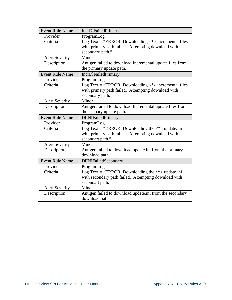| <b>Event Rule Name</b> | <b>IncrDlFailedPrimary</b>                                                                                                 |
|------------------------|----------------------------------------------------------------------------------------------------------------------------|
| Provider               | ProgramLog                                                                                                                 |
| Criteria               | Log Text = "ERROR: Downloading $\langle * \rangle$ incremental files<br>with primary path failed. Attempting download with |
|                        | secondary path."                                                                                                           |
| <b>Alert Severity</b>  | Minor                                                                                                                      |
| Description            | Antigen failed to download Incremental update files from                                                                   |
|                        | the primary update path.                                                                                                   |
| <b>Event Rule Name</b> | <b>IncrDlFailedPrimary</b>                                                                                                 |
| Provider               | ProgramLog                                                                                                                 |
| Criteria               | Log Text = "ERROR: Downloading $\langle * \rangle$ incremental files                                                       |
|                        | with primary path failed. Attempting download with                                                                         |
|                        | secondary path."                                                                                                           |
| <b>Alert Severity</b>  | Minor                                                                                                                      |
| Description            | Antigen failed to download Incremental update files from                                                                   |
|                        | the primary update path.                                                                                                   |
|                        |                                                                                                                            |
| <b>Event Rule Name</b> | <b>DIINIFailedPrimary</b>                                                                                                  |
| Provider               | ProgramLog                                                                                                                 |
| Criteria               | Log Text = "ERROR: Downloading the $\langle\rangle$ update.ini                                                             |
|                        | with primary path failed. Attempting download with                                                                         |
|                        | secondart path."                                                                                                           |
| <b>Alert Severity</b>  | Minor                                                                                                                      |
| Description            | Antigen failed to download update.ini from the primary                                                                     |
|                        | download path.                                                                                                             |
| <b>Event Rule Name</b> | DIINIFailedSecondary                                                                                                       |
| Provider               | ProgramLog                                                                                                                 |
| Criteria               | Log Text = "ERROR: Downloading the $\langle * \rangle$ update.ini                                                          |
|                        | with secondary path failed. Attempting download with                                                                       |
|                        | secondart path."                                                                                                           |
| <b>Alert Severity</b>  | Minor                                                                                                                      |
| Description            | Antigen failed to download update.ini from the secondary<br>download path.                                                 |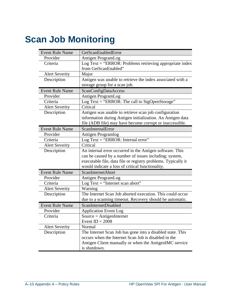# **Scan Job Monitoring**

| <b>Event Rule Name</b> | GetScanEnabledError                                           |
|------------------------|---------------------------------------------------------------|
| Provider               | Antigen ProgramLog                                            |
| Criteria               | Log Text = "ERROR: Problems retrieving appropriate index      |
|                        | from GetScanEnabled"                                          |
| <b>Alert Severity</b>  | Major                                                         |
| Description            | Antigen was unable to retrieve the index associated with a    |
|                        | storage group for a scan job.                                 |
| <b>Event Rule Name</b> | ScanConfigDataAccess                                          |
| Provider               | Antigen ProgramLog                                            |
| Criteria               | Log Text = "ERROR: The call to StgOpenStorage"                |
| <b>Alert Severity</b>  | Critical                                                      |
| Description            | Antigen was unable to retrieve scan job configuration         |
|                        | information during Antigen initialization. An Antigen data    |
|                        | file (ADB file) may have become corrupt or inaccessible.      |
| <b>Event Rule Name</b> | ScanInternalError                                             |
| Provider               | Antigen Programlog                                            |
| Criteria               | Log Text = "ERROR: Internal error"                            |
| <b>Alert Severity</b>  | Critical                                                      |
| Description            | An internal error occurred in the Antigen software. This      |
|                        | can be caused by a number of issues including: system,        |
|                        | executable file, data file or registry problems. Typically it |
|                        | would indicate a loss of critical functionality.              |
| <b>Event Rule Name</b> | <b>ScanInternetAbort</b>                                      |
| Provider               | Antigen ProgramLog                                            |
| Criteria               | Log Text $=$ "Internet scan abort"                            |
| <b>Alert Severity</b>  | Warning                                                       |
| Description            | The Internet Scan Job aborted execution. This could occur     |
|                        | due to a scanning timeout. Recovery should be automatic.      |
| <b>Event Rule Name</b> | ScanInternetDisabled                                          |
| Provider               | <b>Application Event Log</b>                                  |
| Criteria               | $Source = AntigenInternet$                                    |
|                        | Event $ID = 2008$                                             |
| <b>Alert Severity</b>  | Normal                                                        |
| Description            | The Internet Scan Job has gone into a disabled state. This    |
|                        | occurs when the Internet Scan Job is disabled in the          |
|                        | Antigen Client manually or when the AntigenIMC service        |
|                        | is shutdown.                                                  |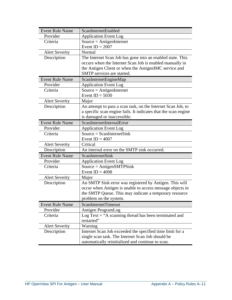| <b>Event Rule Name</b> | ScanInternetEnabled                                             |
|------------------------|-----------------------------------------------------------------|
| Provider               | <b>Application Event Log</b>                                    |
| Criteria               | $Source = AntigenInternet$                                      |
|                        | Event $ID = 2007$                                               |
| <b>Alert Severity</b>  | Normal                                                          |
| Description            | The Internet Scan Job has gone into an enabled state. This      |
|                        | occurs when the Internet Scan Job is enabled manually in        |
|                        | the Antigen Client or when the AntigenIMC service and           |
|                        | SMTP services are started.                                      |
| <b>Event Rule Name</b> | ScanInternetEngineMap                                           |
| Provider               | <b>Application Event Log</b>                                    |
| Criteria               | $Source = AntigenInternet$                                      |
|                        | Event $ID = 5030$                                               |
| <b>Alert Severity</b>  | Major                                                           |
| Description            | An attempt to pass a scan task, on the Internet Scan Job, to    |
|                        | a specific scan engine fails. It indicates that the scan engine |
|                        | is damaged or inaccessible.                                     |
| <b>Event Rule Name</b> | ScanInternetInternalError                                       |
| Provider               | <b>Application Event Log</b>                                    |
| Criteria               | $Source = ScanInternetSink$                                     |
|                        | Event ID = $4007$                                               |
| <b>Alert Severity</b>  | Critical                                                        |
| Description            | An internal error on the SMTP sink occurred.                    |
| <b>Event Rule Name</b> | <b>ScanInternetSink</b>                                         |
| Provider               | <b>Application Event Log</b>                                    |
| Criteria               | $Source = AntigenSMTPSink$                                      |
|                        | Event $ID = 4008$                                               |
| <b>Alert Severity</b>  | Major                                                           |
| Description            | An SMTP Sink error was registered by Antigen. This will         |
|                        | occur when Antigen is unable to access message objects in       |
|                        | the SMTP Queue. This may indicate a temporary resource          |
|                        | problem on the system.                                          |
| <b>Event Rule Name</b> | <b>ScanInternetTimeout</b>                                      |
| Provider               | Antigen ProgramLog                                              |
| Criteria               | Log Text $=$ "A scanning thread has been terminated and         |
|                        | restarted"                                                      |
| <b>Alert Severity</b>  | Warning                                                         |
| Description            | Internet Scan Job exceeded the specified time limit for a       |
|                        | single scan task. The Internet Scan Job should be               |
|                        | automatically reinitialized and continue to scan.               |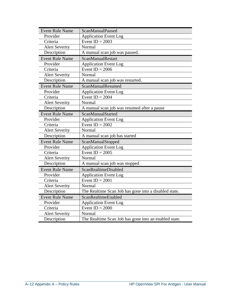| <b>Event Rule Name</b> | ScanManualPaused                                      |
|------------------------|-------------------------------------------------------|
| Provider               | <b>Application Event Log</b>                          |
| Criteria               | Event $ID = 2003$                                     |
| <b>Alert Severity</b>  | Normal                                                |
| Description            | A manual scan job was paused.                         |
| <b>Event Rule Name</b> | ScanManualRestart                                     |
| Provider               | <b>Application Event Log</b>                          |
| Criteria               | Event ID = $2006$                                     |
| <b>Alert Severity</b>  | Normal                                                |
| Description            | A manual scan job was restarted.                      |
| <b>Event Rule Name</b> | ScanManualResumed                                     |
| Provider               | <b>Application Event Log</b>                          |
| Criteria               | Event $ID = 2004$                                     |
| <b>Alert Severity</b>  | Normal                                                |
| Description            | A manual scan job was resumed after a pause           |
| <b>Event Rule Name</b> | ScanManualStarted                                     |
| Provider               | <b>Application Event Log</b>                          |
| Criteria               | Event $ID = 2002$                                     |
| <b>Alert Severity</b>  | Normal                                                |
| Description            | A manual scan job has started                         |
| <b>Event Rule Name</b> | ScanManualStopped                                     |
| Provider               | <b>Application Event Log</b>                          |
| Criteria               | Event $ID = 2005$                                     |
| <b>Alert Severity</b>  | Normal                                                |
| Description            | A manual scan job was stopped                         |
| <b>Event Rule Name</b> | ScanRealtimeDisabled                                  |
| Provider               | <b>Application Event Log</b>                          |
| Criteria               | Event $ID = 2001$                                     |
| <b>Alert Severity</b>  | Normal                                                |
| Description            | The Realtime Scan Job has gone into a disabled state. |
| <b>Event Rule Name</b> | ScanRealtimeEnabled                                   |
| Provider               | Application Event Log                                 |
| Criteria               | Event $ID = 2000$                                     |
| <b>Alert Severity</b>  | Normal                                                |
| Description            | The Realtime Scan Job has gone into an enabled state. |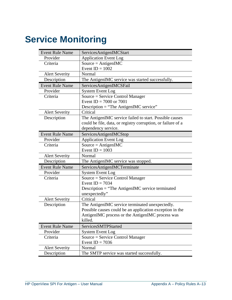# **Service Monitoring**

| <b>Event Rule Name</b>               | ServicesAntigenIMCStart                                      |  |  |
|--------------------------------------|--------------------------------------------------------------|--|--|
| Provider                             | <b>Application Event Log</b>                                 |  |  |
| Criteria                             | Source = $AntigenIMC$                                        |  |  |
|                                      | Event $ID = 1002$                                            |  |  |
| <b>Alert Severity</b>                | Normal                                                       |  |  |
| Description                          | The AntigenIMC service was started successfully.             |  |  |
| <b>Event Rule Name</b>               | ServicesAntigenIMCSFail                                      |  |  |
| Provider                             | <b>System Event Log</b>                                      |  |  |
| Criteria                             | Source = Service Control Manager                             |  |  |
|                                      | Event ID = $7000$ or $7001$                                  |  |  |
|                                      | Description $=$ "The AntigenIMC service"                     |  |  |
| <b>Alert Severity</b>                | Critical                                                     |  |  |
| Description                          | The AntigenIMC service failed to start. Possible causes      |  |  |
|                                      | could be file, data, or registry corruption, or failure of a |  |  |
|                                      | dependency service.                                          |  |  |
| <b>Event Rule Name</b>               | ServicesAntigenIMCStop                                       |  |  |
| Provider                             | <b>Application Event Log</b>                                 |  |  |
| Criteria                             | Source = $AntigenIMC$                                        |  |  |
|                                      | Event $ID = 1003$                                            |  |  |
| <b>Alert Severity</b>                | Normal                                                       |  |  |
| Description                          | The AntigenIMC service was stopped.                          |  |  |
| <b>Event Rule Name</b>               | ServicesAntigenIMCTerminate                                  |  |  |
| Provider                             | <b>System Event Log</b>                                      |  |  |
| Criteria                             | Source = Service Control Manager                             |  |  |
|                                      | Event ID = $7034$                                            |  |  |
|                                      | $Description = "The AntigenIMC service terminated]$          |  |  |
|                                      | unexpectedly"                                                |  |  |
| <b>Alert Severity</b>                | Critical                                                     |  |  |
| Description                          | The AntigenIMC service terminated unexpectedly.              |  |  |
|                                      | Possible causes could be an application exception in the     |  |  |
|                                      | AntigenIMC process or the AntigenIMC process was             |  |  |
|                                      | killed.                                                      |  |  |
| <b>Event Rule Name</b>               | ServicesSMTPStarted                                          |  |  |
| Provider                             |                                                              |  |  |
|                                      | <b>System Event Log</b>                                      |  |  |
| Criteria                             | Source = Service Control Manager                             |  |  |
|                                      | Event ID = $7036$                                            |  |  |
| <b>Alert Severity</b><br>Description | Normal<br>The SMTP service was started successfully.         |  |  |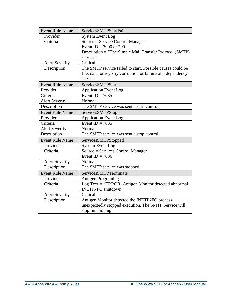| <b>Event Rule Name</b> | ServicesSMTPStartFail                                         |  |  |
|------------------------|---------------------------------------------------------------|--|--|
| Provider               | <b>System Event Log</b>                                       |  |  |
| Criteria               | Source = Service Control Manager                              |  |  |
|                        | Event ID = $7000$ or $7001$                                   |  |  |
|                        | Description = "The Simple Mail Transfer Protocol (SMTP)       |  |  |
|                        | service"                                                      |  |  |
| <b>Alert Severity</b>  | Critical                                                      |  |  |
| Description            | The SMTP service failed to start. Possible causes could be    |  |  |
|                        | file, data, or registry corruption or failure of a dependency |  |  |
|                        | service.                                                      |  |  |
| <b>Event Rule Name</b> | ServicesSMTPStart                                             |  |  |
| Provider               | <b>Application Event Log</b>                                  |  |  |
| Criteria               | Event ID = $7035$                                             |  |  |
| <b>Alert Severity</b>  | Normal                                                        |  |  |
| Description            | The SMTP service was sent a start control.                    |  |  |
| <b>Event Rule Name</b> | ServicesSMTPStop                                              |  |  |
| Provider               | <b>Application Event Log</b>                                  |  |  |
| Criteria               | Event $ID = 7035$                                             |  |  |
| <b>Alert Severity</b>  | Normal                                                        |  |  |
| Description            | The SMTP service was sent a stop control.                     |  |  |
| <b>Event Rule Name</b> | ServicesSMTPStopped                                           |  |  |
| Provider               | <b>System Event Log</b>                                       |  |  |
| Criteria               | Source = Services Control Manager                             |  |  |
|                        | Event ID = $7036$                                             |  |  |
| <b>Alert Severity</b>  | Normal                                                        |  |  |
| Description            | The SMTP service was stopped.                                 |  |  |
| <b>Event Rule Name</b> | ServicesSMTPTerminate                                         |  |  |
| Provider               | Antigen Programlog                                            |  |  |
| Criteria               | Log Text = "ERROR: Antigen Monitor detected abnormal          |  |  |
|                        | <b>INETINFO</b> shutdown"                                     |  |  |
| <b>Alert Severity</b>  | Critical                                                      |  |  |
| Description            | Antigen Monitor detected the INETINFO process                 |  |  |
|                        | unexpectedly stopped execution. The SMTP Service will         |  |  |
|                        | stop functioning.                                             |  |  |